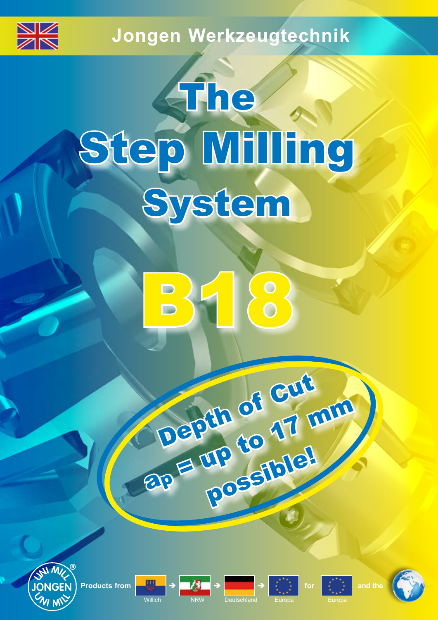

## **Jongen Werkzeugtechnik**

# The Step Milling System











Depth of Gut

**Depth of 17 mm** 

rp Letate!





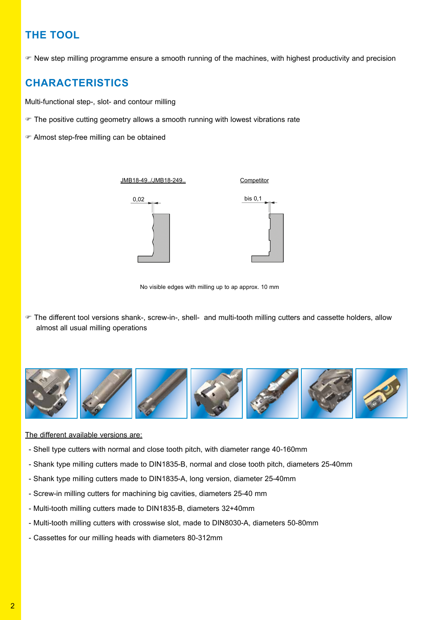## **THE TOOL**

 $\bullet$  New step milling programme ensure a smooth running of the machines, with highest productivity and precision

## **CHARACTERISTICS**

Multi-functional step-, slot- and contour milling

- The positive cutting geometry allows a smooth running with lowest vibrations rate
- F Almost step-free milling can be obtained

0,02 bis 0,1 **Competitor** JMB18-49../JMB18-249..

No visible edges with milling up to ap approx. 10 mm

F The different tool versions shank-, screw-in-, shell- and multi-tooth milling cutters and cassette holders, allow almost all usual milling operations



The different available versions are:

- Shell type cutters with normal and close tooth pitch, with diameter range 40-160mm
- Shank type milling cutters made to DIN1835-B, normal and close tooth pitch, diameters 25-40mm
- Shank type milling cutters made to DIN1835-A, long version, diameter 25-40mm
- Screw-in milling cutters for machining big cavities, diameters 25-40 mm
- Multi-tooth milling cutters made to DIN1835-B, diameters 32+40mm
- Multi-tooth milling cutters with crosswise slot, made to DIN8030-A, diameters 50-80mm
- Cassettes for our milling heads with diameters 80-312mm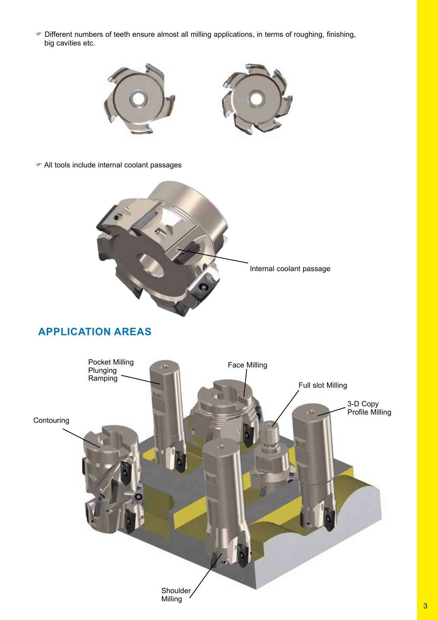F Different numbers of teeth ensure almost all milling applications, in terms of roughing, finishing, big cavities etc.



F All tools include internal coolant passages



## **APPLICATION AREAS**

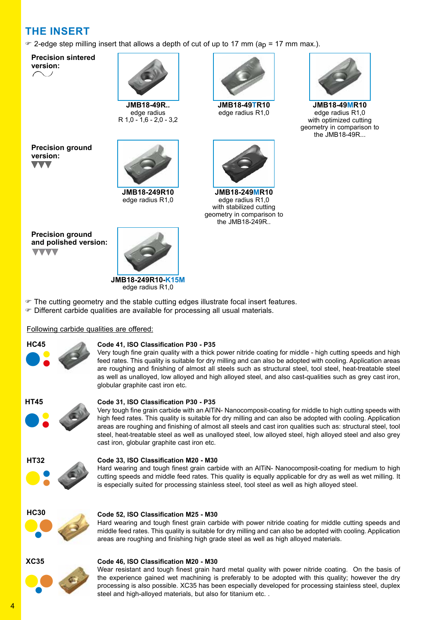## **THE INSERT**

 $\degree$  2-edge step milling insert that allows a depth of cut of up to 17 mm (ap = 17 mm max.).

**Precision sintered version:**

**Precision ground** 

**version:**

 $\blacktriangledown$ 



**JMB18-49R..** edge radius R 1,0 - 1,6 - 2,0 - 3,2



**JMB18-249R10** edge radius R1,0



**JMB18-49TR10** edge radius R1,0



**JMB18-249MR10** edge radius R1,0 with stabilized cutting geometry in comparison to the JMB18-249R..



**JMB18-49MR10** edge radius R1,0 with optimized cutting geometry in comparison to the JMB18-49R...

**Precision ground and polished version: VVVV** 



edge radius R1,0

- F The cutting geometry and the stable cutting edges illustrate focal insert features.
- F Different carbide qualities are available for processing all usual materials.

#### Following carbide qualities are offered:



#### **Code 41, ISO Classification P30 - P35**

Very tough fine grain quality with a thick power nitride coating for middle - high cutting speeds and high feed rates. This quality is suitable for dry milling and can also be adopted with cooling. Application areas are roughing and finishing of almost all steels such as structural steel, tool steel, heat-treatable steel as well as unalloyed, low alloyed and high alloyed steel, and also cast-qualities such as grey cast iron, globular graphite cast iron etc.



#### **Code 31, ISO Classification P30 - P35**

Very tough fine grain carbide with an AlTiN- Nanocomposit-coating for middle to high cutting speeds with high feed rates. This quality is suitable for dry milling and can also be adopted with cooling. Application areas are roughing and finishing of almost all steels and cast iron qualities such as: structural steel, tool steel, heat-treatable steel as well as unalloyed steel, low alloyed steel, high alloyed steel and also grey cast iron, globular graphite cast iron etc.



#### **Code 33, ISO Classification M20 - M30**

Hard wearing and tough finest grain carbide with an AlTiN- Nanocomposit-coating for medium to high cutting speeds and middle feed rates. This quality is equally applicable for dry as well as wet milling. It is especially suited for processing stainless steel, tool steel as well as high alloyed steel.



#### **Code 52, ISO Classification M25 - M30**

Hard wearing and tough finest grain carbide with power nitride coating for middle cutting speeds and middle feed rates. This quality is suitable for dry milling and can also be adopted with cooling. Application areas are roughing and finishing high grade steel as well as high alloyed materials.



#### **Code 46, ISO Classification M20 - M30**

●● ● Wear resistant and tough finest grain hard metal quality with power nitride coating. On the basis of the experience gained wet machining is preferably to be adopted with this quality; however the dry processing is also possible. XC35 has been especially developed for processing stainless steel, duplex steel and high-alloyed materials, but also for titanium etc. .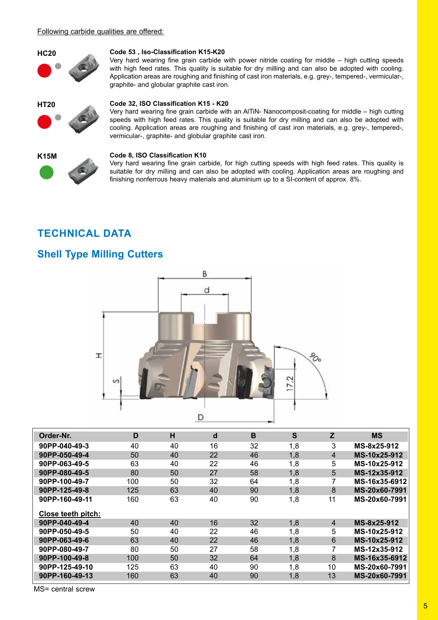#### Following carbide qualities are offered:



#### **Code 53 , Iso-Classification K15-K20**

Very hard wearing fine grain carbide with power nitride coating for middle – high cutting speeds with high feed rates. This quality is suitable for dry milling and can also be adopted with cooling. Application areas are roughing and finishing of cast iron materials, e.g. grey-, tempered-, vermicular-, graphite- and globular graphite cast iron.









## **Code 32, ISO Classification K15 - K20**

Very hard wearing fine grain carbide with an AlTiN- Nanocomposit-coating for middle – high cutting speeds with high feed rates. This quality is suitable for dry milling and can also be adopted with cooling. Application areas are roughing and finishing of cast iron materials, e.g. grey-, tempered-, vermicular-, graphite- and globular graphite cast iron.

#### **Code 8, ISO Classification K10**

Very hard wearing fine grain carbide, for high cutting speeds with high feed rates. This quality is suitable for dry milling and can also be adopted with cooling. Application areas are roughing and finishing nonferrous heavy materials and aluminium up to a SI-content of approx. 8%.

## **TECHNICAL DATA**

## **Shell Type Milling Cutters**



| Order-Nr.          | D   | н  | $\mathbf d$ | $\mathbf B$ | S   | Z              | <b>MS</b>     |
|--------------------|-----|----|-------------|-------------|-----|----------------|---------------|
| 90PP-040-49-3      | 40  | 40 | 16          | 32          | 1,8 | 3              | MS-8x25-912   |
| 90PP-050-49-4      | 50  | 40 | 22          | 46          | 1,8 | $\overline{4}$ | MS-10x25-912  |
| 90PP-063-49-5      | 63  | 40 | 22          | 46          | 1,8 | 5              | MS-10x25-912  |
| 90PP-080-49-5      | 80  | 50 | 27          | 58          | 1,8 | 5              | MS-12x35-912  |
| 90PP-100-49-7      | 100 | 50 | 32          | 64          | 1,8 | 7              | MS-16x35-6912 |
| 90PP-125-49-8      | 125 | 63 | 40          | 90          | 1,8 | 8              | MS-20x60-7991 |
| 90PP-160-49-11     | 160 | 63 | 40          | 90          | 1,8 | 11             | MS-20x60-7991 |
| Close teeth pitch: |     |    |             |             |     |                |               |
| 90PP-040-49-4      | 40  | 40 | 16          | 32          | 1,8 | 4              | MS-8x25-912   |
| 90PP-050-49-5      | 50  | 40 | 22          | 46          | 1,8 | 5              | MS-10x25-912  |
| 90PP-063-49-6      | 63  | 40 | 22          | 46          | 1,8 | 6              | MS-10x25-912  |
| 90PP-080-49-7      | 80  | 50 | 27          | 58          | 1,8 | $\overline{7}$ | MS-12x35-912  |
| 90PP-100-49-8      | 100 | 50 | 32          | 64          | 1,8 | 8              | MS-16x35-6912 |
| 90PP-125-49-10     | 125 | 63 | 40          | 90          | 1,8 | 10             | MS-20x60-7991 |
| 90PP-160-49-13     | 160 | 63 | 40          | 90          | 1,8 | 13             | MS-20x60-7991 |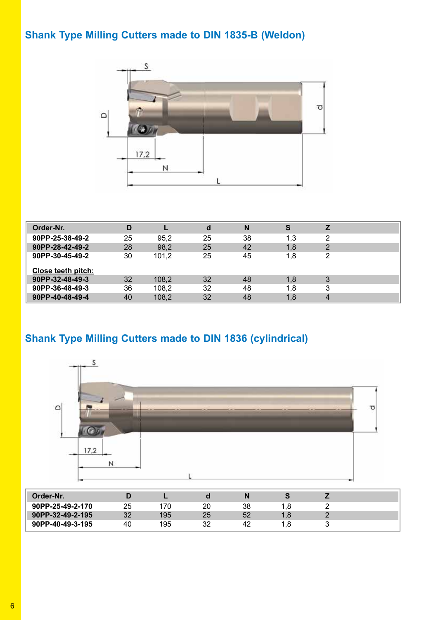## **Shank Type Milling Cutters made to DIN 1835-B (Weldon)**



| Order-Nr.          | D  |       | d  | N  | S   |                |  |
|--------------------|----|-------|----|----|-----|----------------|--|
| 90PP-25-38-49-2    | 25 | 95.2  | 25 | 38 | 1,3 | 2              |  |
| 90PP-28-42-49-2    | 28 | 98,2  | 25 | 42 | 1,8 | $\overline{2}$ |  |
| 90PP-30-45-49-2    | 30 | 101,2 | 25 | 45 | 1,8 | 2              |  |
| Close teeth pitch: |    |       |    |    |     |                |  |
| 90PP-32-48-49-3    | 32 | 108,2 | 32 | 48 | 1,8 | 3              |  |
| 90PP-36-48-49-3    | 36 | 108,2 | 32 | 48 | 1.8 | 3              |  |
| 90PP-40-48-49-4    | 40 | 108,2 | 32 | 48 | 1,8 | 4              |  |

## **Shank Type Milling Cutters made to DIN 1836 (cylindrical)**



| Order-Nr.        |    |     |    |    |     |  |
|------------------|----|-----|----|----|-----|--|
| 90PP-25-49-2-170 | 25 | 70  | 20 | 38 | .8  |  |
| 90PP-32-49-2-195 | 32 | 195 | 25 | 52 | 1.8 |  |
| 90PP-40-49-3-195 | 40 | 195 | 32 | 42 | .8  |  |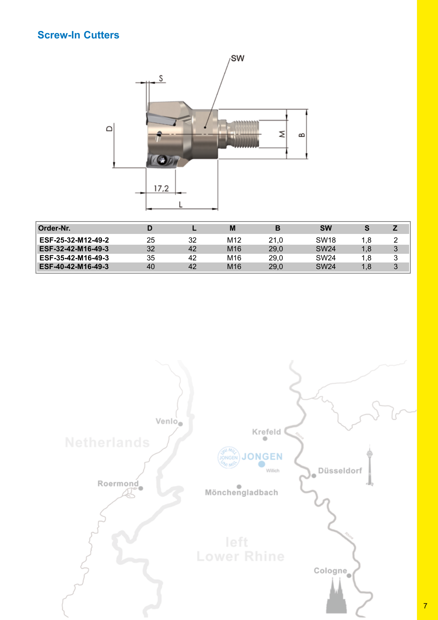## **Screw-In Cutters**



| Order-Nr.          |    |    | M               | в    | <b>SW</b>        | S   |   |
|--------------------|----|----|-----------------|------|------------------|-----|---|
| ESF-25-32-M12-49-2 | 25 | 32 | M12             | 21.0 | SW <sub>18</sub> | 1.8 |   |
| ESF-32-42-M16-49-3 | 32 | 42 | M <sub>16</sub> | 29,0 | <b>SW24</b>      | 1,8 | 3 |
| ESF-35-42-M16-49-3 | 35 | 42 | M16             | 29.0 | SW <sub>24</sub> | 1.8 |   |
| ESF-40-42-M16-49-3 | 40 | 42 | M <sub>16</sub> | 29.0 | <b>SW24</b>      | 1,8 | 3 |

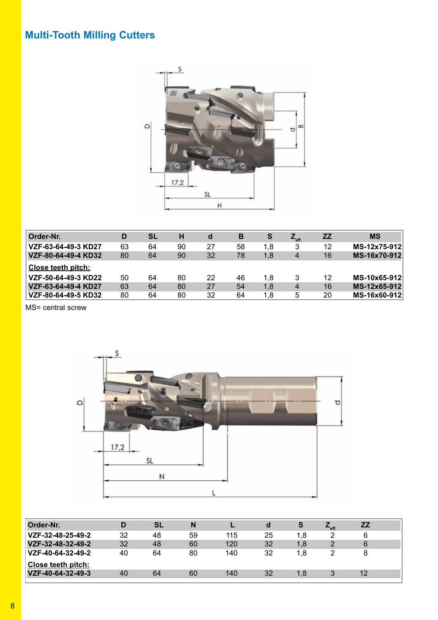## **Multi-Tooth Milling Cutters**



| Order-Nr.                 | D  | SL | н  | d  | B  | S   | $Z_{\text{eff.}}$ | <b>ZZ</b> | <b>MS</b>    |
|---------------------------|----|----|----|----|----|-----|-------------------|-----------|--------------|
| VZF-63-64-49-3 KD27       | 63 | 64 | 90 | 27 | 58 | 1,8 | 3                 | 12        | MS-12x75-912 |
| VZF-80-64-49-4 KD32       | 80 | 64 | 90 | 32 | 78 | 1,8 | 4                 | 16        | MS-16x70-912 |
| <b>Close teeth pitch:</b> |    |    |    |    |    |     |                   |           |              |
| VZF-50-64-49-3 KD22       | 50 | 64 | 80 | 22 | 46 | 1.8 | 3                 | 12        | MS-10x65-912 |
| VZF-63-64-49-4 KD27       | 63 | 64 | 80 | 27 | 54 | 1,8 | 4                 | 16        | MS-12x65-912 |
| VZF-80-64-49-5 KD32       | 80 | 64 | 80 | 32 | 64 | 1,8 | 5                 | 20        | MS-16x60-912 |

MS= central screw



| Order-Nr.          |    | <b>SL</b> | N  |     | a  | S   | $L_{\text{eff}}$ | <b>ZZ</b> |  |
|--------------------|----|-----------|----|-----|----|-----|------------------|-----------|--|
| VZF-32-48-25-49-2  | 32 | 48        | 59 | 115 | 25 | 1.8 |                  | 6         |  |
| VZF-32-48-32-49-2  | 32 | 48        | 60 | 120 | 32 | 1.8 |                  | 6         |  |
| VZF-40-64-32-49-2  | 40 | 64        | 80 | 140 | 32 | 1.8 |                  |           |  |
| Close teeth pitch: |    |           |    |     |    |     |                  |           |  |
| VZF-40-64-32-49-3  | 40 | 64        | 60 | 140 | 32 | 1.8 |                  | 12        |  |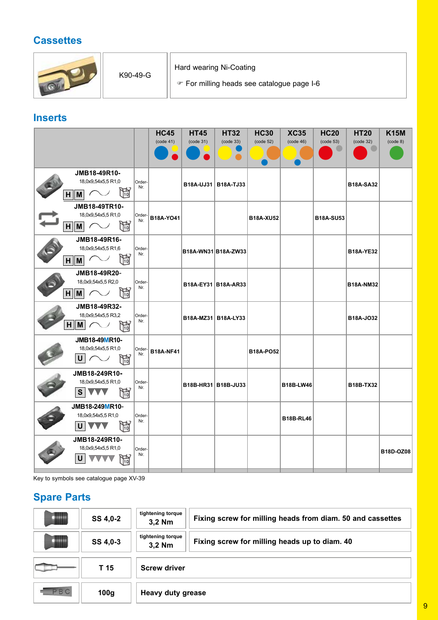## **Cassettes**



## **Inserts**

|                                                         |               | <b>HC45</b>      | <b>HT45</b>           | <b>HT32</b>           | <b>HC30</b>      | <b>XC35</b>      | <b>HC20</b>      | <b>HT20</b>      | <b>K15M</b> |
|---------------------------------------------------------|---------------|------------------|-----------------------|-----------------------|------------------|------------------|------------------|------------------|-------------|
|                                                         |               | (code 41)        | (code 31)             | (code 33)             | (code 52)        | (code 46)        | (code 53)        | (code 32)        | (code 8)    |
|                                                         |               |                  |                       |                       |                  |                  |                  |                  |             |
| JMB18-49R10-                                            |               |                  |                       |                       |                  |                  |                  |                  |             |
| 18,0x9,54x5,5 R1,0                                      | Order-<br>Nr. |                  |                       | B18A-UJ31   B18A-TJ33 |                  |                  |                  | <b>B18A-SA32</b> |             |
| H<br>$H \parallel M$                                    |               |                  |                       |                       |                  |                  |                  |                  |             |
| JMB18-49TR10-                                           |               |                  |                       |                       |                  |                  |                  |                  |             |
| 18,0x9,54x5,5 R1,0                                      | Order-<br>Nr. | B18A-YO41        |                       |                       | <b>B18A-XU52</b> |                  | <b>B18A-SU53</b> |                  |             |
| H<br>$\sim$<br>$H \parallel M \parallel$                |               |                  |                       |                       |                  |                  |                  |                  |             |
| JMB18-49R16-                                            |               |                  |                       |                       |                  |                  |                  |                  |             |
| 18,0x9,54x5,5 R1,6                                      | Order-<br>Nr. |                  | B18A-WN31 B18A-ZW33   |                       |                  |                  |                  | <b>B18A-YE32</b> |             |
| ħ<br>$H \parallel M$                                    |               |                  |                       |                       |                  |                  |                  |                  |             |
| JMB18-49R20-                                            |               |                  |                       |                       |                  |                  |                  |                  |             |
| 18,0x9,54x5,5 R2,0                                      | Order-<br>Nr. |                  |                       | B18A-EY31 B18A-AR33   |                  |                  |                  | <b>B18A-NM32</b> |             |
| ħ<br>$H \parallel M$                                    |               |                  |                       |                       |                  |                  |                  |                  |             |
| JMB18-49R32-                                            |               |                  |                       |                       |                  |                  |                  |                  |             |
| 18,0x9,54x5,5 R3,2                                      | Order-<br>Nr. |                  | B18A-MZ31   B18A-LY33 |                       |                  |                  |                  | B18A-J032        |             |
| $\mathbb{B}$<br>$H \parallel M \parallel$<br>$\sqrt{2}$ |               |                  |                       |                       |                  |                  |                  |                  |             |
| JMB18-49MR10-                                           |               |                  |                       |                       |                  |                  |                  |                  |             |
| 18,0x9,54x5,5 R1,0                                      | Order-<br>Nr. | <b>B18A-NF41</b> |                       |                       | <b>B18A-PO52</b> |                  |                  |                  |             |
| ħ<br>U                                                  |               |                  |                       |                       |                  |                  |                  |                  |             |
| JMB18-249R10-                                           |               |                  |                       |                       |                  |                  |                  |                  |             |
| 18,0x9,54x5,5 R1,0                                      | Order-<br>Nr. |                  |                       | B18B-HR31 B18B-JU33   |                  | <b>B18B-LW46</b> |                  | <b>B18B-TX32</b> |             |
| 開<br>SIW                                                |               |                  |                       |                       |                  |                  |                  |                  |             |
| JMB18-249MR10-                                          |               |                  |                       |                       |                  |                  |                  |                  |             |
| 18,0x9,54x5,5 R1,0                                      | Order-<br>Nr. |                  |                       |                       |                  | <b>B18B-RL46</b> |                  |                  |             |
| H<br>$\mathsf{U}$<br>VVV                                |               |                  |                       |                       |                  |                  |                  |                  |             |
| JMB18-249R10-                                           |               |                  |                       |                       |                  |                  |                  |                  |             |
| 18,0x9,54x5,5 R1,0                                      | Order-<br>Nr. |                  |                       |                       |                  |                  |                  |                  | B18D-OZ08   |
| 段<br>$\mathsf{U}$                                       |               |                  |                       |                       |                  |                  |                  |                  |             |
|                                                         |               |                  |                       |                       |                  |                  |                  |                  |             |

Key to symbols see catalogue page XV-39

## **Spare Parts**

|           | SS 4,0-2 | tightening torque<br>3,2 Nm | Fixing screw for milling heads from diam. 50 and cassettes |  |  |  |  |  |
|-----------|----------|-----------------------------|------------------------------------------------------------|--|--|--|--|--|
|           | SS 4,0-3 | tightening torque<br>3,2 Nm | Fixing screw for milling heads up to diam. 40              |  |  |  |  |  |
|           | T 15     | <b>Screw driver</b>         |                                                            |  |  |  |  |  |
|           |          |                             |                                                            |  |  |  |  |  |
| <b>BC</b> | 100g     | <b>Heavy duty grease</b>    |                                                            |  |  |  |  |  |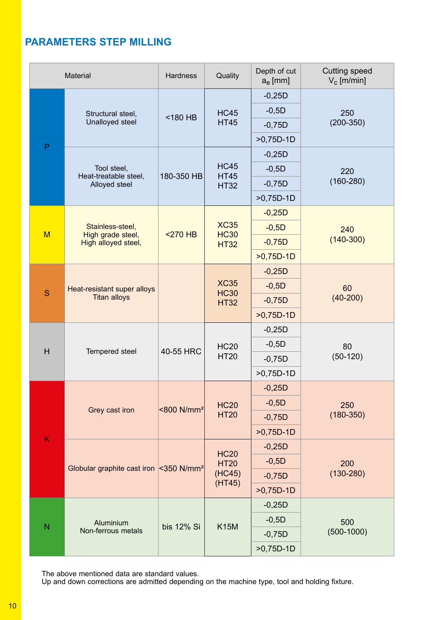## **PARAMETERS STEP MILLING**

|                         | <b>Material</b>                                    | <b>Hardness</b>        | Quality                    | Depth of cut<br>$a_e$ [mm] | <b>Cutting speed</b><br>$V_c$ [m/min] |  |
|-------------------------|----------------------------------------------------|------------------------|----------------------------|----------------------------|---------------------------------------|--|
|                         |                                                    |                        |                            | $-0,25D$                   |                                       |  |
|                         | Structural steel,                                  | <180 HB                | <b>HC45</b>                | $-0,5D$                    | 250                                   |  |
|                         | Unalloyed steel                                    |                        | <b>HT45</b>                | $-0,75D$                   | $(200-350)$                           |  |
| $\mathsf{P}$            |                                                    |                        |                            | $>0,75D-1D$                |                                       |  |
|                         |                                                    |                        |                            | $-0,25D$                   |                                       |  |
|                         | Tool steel,<br>Heat-treatable steel,               | 180-350 HB             | <b>HC45</b><br><b>HT45</b> | $-0,5D$                    | 220                                   |  |
|                         | Alloyed steel                                      |                        | <b>HT32</b>                | $-0,75D$                   | $(160 - 280)$                         |  |
|                         |                                                    |                        |                            | $>0,75D-1D$                |                                       |  |
|                         |                                                    |                        |                            | $-0,25D$                   |                                       |  |
| M                       | Stainless-steel,<br>High grade steel,              | $<$ 270 HB             | <b>XC35</b><br><b>HC30</b> | $-0,5D$                    | 240                                   |  |
|                         | High alloyed steel,                                |                        | <b>HT32</b>                | $-0,75D$                   | $(140-300)$                           |  |
|                         |                                                    |                        |                            | $>0,75D-1D$                |                                       |  |
|                         |                                                    |                        |                            | $-0,25D$                   |                                       |  |
| S                       | Heat-resistant super alloys                        |                        | <b>XC35</b><br><b>HC30</b> | $-0,5D$                    | 60                                    |  |
|                         | <b>Titan alloys</b>                                |                        | <b>HT32</b>                | $-0,75D$                   | $(40-200)$                            |  |
|                         |                                                    |                        |                            | $>0,75D-1D$                |                                       |  |
|                         |                                                    |                        |                            | $-0,25D$                   |                                       |  |
| H                       | Tempered steel                                     | 40-55 HRC              | <b>HC20</b>                | $-0,5D$                    | 80                                    |  |
|                         |                                                    |                        | <b>HT20</b>                | $-0,75D$                   | $(50-120)$                            |  |
|                         |                                                    |                        |                            | $>0,75D-1D$                |                                       |  |
|                         |                                                    |                        |                            | $-0,25D$                   |                                       |  |
|                         | Grey cast iron                                     | <800 N/mm <sup>2</sup> | <b>HC20</b>                | $-0,5D$                    | 250                                   |  |
|                         |                                                    |                        | <b>HT20</b>                | $-0,75D$                   | $(180 - 350)$                         |  |
| K                       |                                                    |                        |                            | $>0,75D-1D$                |                                       |  |
|                         |                                                    |                        | <b>HC20</b>                | $-0,25D$                   |                                       |  |
|                         | Globular graphite cast iron <350 N/mm <sup>2</sup> |                        | <b>HT20</b>                | $-0,5D$                    | 200                                   |  |
|                         |                                                    |                        | (HC45)<br>(HT45)           | $-0,75D$                   | $(130 - 280)$                         |  |
|                         |                                                    |                        |                            | $>0,75D-1D$                |                                       |  |
|                         |                                                    |                        |                            | $-0,25D$                   |                                       |  |
| $\overline{\mathsf{N}}$ | Aluminium                                          | bis 12% Si             | <b>K15M</b>                | $-0,5D$                    | 500                                   |  |
|                         | Non-ferrous metals                                 |                        |                            | $-0,75D$                   | $(500-1000)$                          |  |
|                         |                                                    |                        |                            | $>0,75D-1D$                |                                       |  |

The above mentioned data are standard values.

Up and down corrections are admitted depending on the machine type, tool and holding fixture.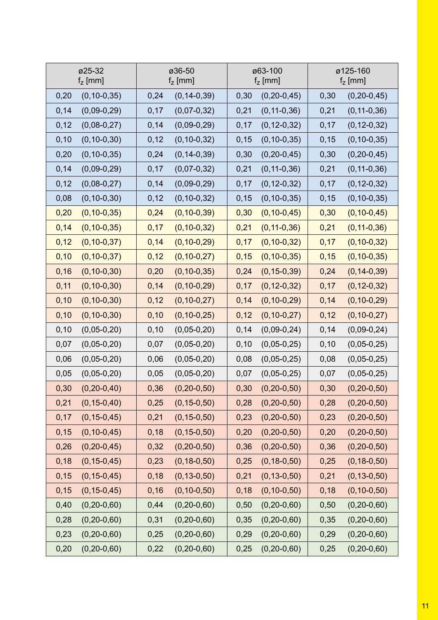| ø25-32            | ø36-50            | ø63-100           | ø125-160          |
|-------------------|-------------------|-------------------|-------------------|
| $fz$ [mm]         | $fZ$ [mm]         | $fz$ [mm]         | $fZ$ [mm]         |
| 0,20              | 0,24              | $(0, 20 - 0, 45)$ | 0,30              |
| $(0, 10 - 0, 35)$ | $(0, 14 - 0, 39)$ | 0,30              | $(0, 20 - 0, 45)$ |
| 0,14              | 0,17              | $(0, 11 - 0, 36)$ | $(0, 11 - 0, 36)$ |
| $(0,09-0,29)$     | $(0,07-0,32)$     | 0,21              | 0,21              |
| 0,12              | $(0,09-0,29)$     | 0,17              | 0,17              |
| $(0,08-0,27)$     | 0,14              | $(0, 12 - 0, 32)$ | $(0, 12 - 0, 32)$ |
| 0, 10             | $(0, 10-0, 32)$   | 0,15              | 0, 15             |
| $(0, 10 - 0, 30)$ | 0,12              | $(0, 10 - 0, 35)$ | $(0, 10 - 0, 35)$ |
| 0,20              | $(0, 14 - 0, 39)$ | 0,30              | $(0, 20 - 0, 45)$ |
| $(0, 10 - 0, 35)$ | 0,24              | $(0, 20-0, 45)$   | 0,30              |
| 0,14              | 0,17              | $(0, 11 - 0, 36)$ | 0,21              |
| $(0,09-0,29)$     | $(0,07-0,32)$     | 0,21              | $(0, 11 - 0, 36)$ |
| 0,12              | $(0,09-0,29)$     | $(0, 12 - 0, 32)$ | 0,17              |
| $(0,08-0,27)$     | 0,14              | 0,17              | $(0, 12 - 0, 32)$ |
| 0,08              | 0,12              | $(0, 10 - 0, 35)$ | $(0, 10 - 0, 35)$ |
| $(0, 10 - 0, 30)$ | $(0, 10-0, 32)$   | 0, 15             | 0, 15             |
| 0,20              | 0,24              | 0,30              | $(0, 10 - 0, 45)$ |
| $(0, 10 - 0, 35)$ | $(0, 10 - 0, 39)$ | $(0, 10 - 0, 45)$ | 0,30              |
| 0,14              | $(0, 10 - 0, 32)$ | $(0, 11 - 0, 36)$ | $(0, 11 - 0, 36)$ |
| $(0, 10 - 0, 35)$ | 0,17              | 0,21              | 0,21              |
| 0,12              | 0,14              | $(0, 10 - 0, 32)$ | $(0, 10 - 0, 32)$ |
| $(0, 10 - 0, 37)$ | $(0, 10 - 0, 29)$ | 0,17              | 0,17              |
| 0, 10             | $(0, 10 - 0, 27)$ | 0,15              | 0,15              |
| $(0, 10 - 0, 37)$ | 0,12              | $(0, 10 - 0, 35)$ | $(0, 10 - 0, 35)$ |
| 0,16              | $(0, 10 - 0, 35)$ | 0,24              | $(0, 14 - 0, 39)$ |
| $(0, 10 - 0, 30)$ | 0,20              | $(0, 15 - 0, 39)$ | 0,24              |
| 0,11              | 0,14              | 0,17              | $(0, 12 - 0, 32)$ |
| $(0, 10 - 0, 30)$ | $(0, 10 - 0, 29)$ | $(0, 12 - 0, 32)$ | 0,17              |
| 0, 10             | 0,12              | $(0, 10 - 0, 29)$ | $(0, 10 - 0, 29)$ |
| $(0, 10 - 0, 30)$ | $(0, 10 - 0, 27)$ | 0,14              | 0,14              |
| 0, 10             | 0, 10             | 0,12              | 0,12              |
| $(0, 10 - 0, 30)$ | $(0, 10 - 0, 25)$ | $(0, 10 - 0, 27)$ | $(0, 10 - 0, 27)$ |
| 0, 10             | $(0,05-0,20)$     | $(0,09-0,24)$     | 0,14              |
| $(0, 05 - 0, 20)$ | 0, 10             | 0,14              | $(0,09-0,24)$     |
| 0,07              | $(0,05-0,20)$     | $(0,05-0,25)$     | $(0, 05 - 0, 25)$ |
| $(0, 05 - 0, 20)$ | 0,07              | 0, 10             | 0, 10             |
| 0,06              | $(0,05-0,20)$     | 0,08              | 0,08              |
| $(0, 05 - 0, 20)$ | 0,06              | $(0,05-0,25)$     | $(0, 05 - 0, 25)$ |
| 0,05              | 0,05              | 0,07              | 0,07              |
| $(0,05-0,20)$     | $(0,05-0,20)$     | $(0,05-0,25)$     | $(0,05-0,25)$     |
| 0,30              | 0,36              | $(0, 20-0, 50)$   | 0,30              |
| $(0, 20 - 0, 40)$ | $(0, 20 - 0, 50)$ | 0,30              | $(0, 20 - 0, 50)$ |
| $(0, 15 - 0, 40)$ | $(0, 15 - 0, 50)$ | 0,28              | $(0, 20 - 0, 50)$ |
| 0,21              | 0,25              | $(0, 20-0, 50)$   | 0,28              |
| 0,17              | 0,21              | 0,23              | 0,23              |
| $(0, 15 - 0, 45)$ | $(0, 15 - 0, 50)$ | $(0, 20 - 0, 50)$ | $(0, 20 - 0, 50)$ |
| 0, 15             | 0,18              | $(0, 20 - 0, 50)$ | $(0, 20 - 0, 50)$ |
| $(0, 10 - 0, 45)$ | $(0, 15 - 0, 50)$ | 0,20              | 0,20              |
| 0,26              | 0,32              | 0,36              | $(0, 20 - 0, 50)$ |
| $(0, 20 - 0, 45)$ | $(0, 20 - 0, 50)$ | $(0, 20-0, 50)$   | 0,36              |
| 0,18              | 0,23              | 0,25              | 0,25              |
| $(0, 15 - 0, 45)$ | $(0, 18 - 0, 50)$ | $(0, 18 - 0, 50)$ | $(0, 18 - 0, 50)$ |
| 0, 15             | 0,18              | 0,21              | $(0, 13 - 0, 50)$ |
| $(0, 15 - 0, 45)$ | $(0, 13 - 0, 50)$ | $(0, 13 - 0, 50)$ | 0,21              |
| 0,15              | 0,16              | 0,18              | $(0, 10 - 0, 50)$ |
| $(0, 15 - 0, 45)$ | $(0, 10 - 0, 50)$ | $(0, 10 - 0, 50)$ | 0,18              |
| 0,40              | 0,44              | 0,50              | 0,50              |
| $(0, 20-0, 60)$   | $(0, 20 - 0, 60)$ | $(0, 20 - 0, 60)$ | $(0, 20 - 0, 60)$ |
| 0,28              | 0,31              | 0,35              | $(0, 20-0, 60)$   |
| $(0, 20 - 0, 60)$ | $(0, 20 - 0, 60)$ | $(0, 20 - 0, 60)$ | 0,35              |
| 0,23              | 0,25              | 0,29              | 0,29              |
| $(0, 20-0, 60)$   | $(0, 20 - 0, 60)$ | $(0, 20 - 0, 60)$ | $(0, 20 - 0, 60)$ |
| 0,20              | 0,22              | 0,25              | 0,25              |
| $(0, 20-0, 60)$   | $(0, 20-0, 60)$   | $(0, 20 - 0, 60)$ | $(0, 20 - 0, 60)$ |